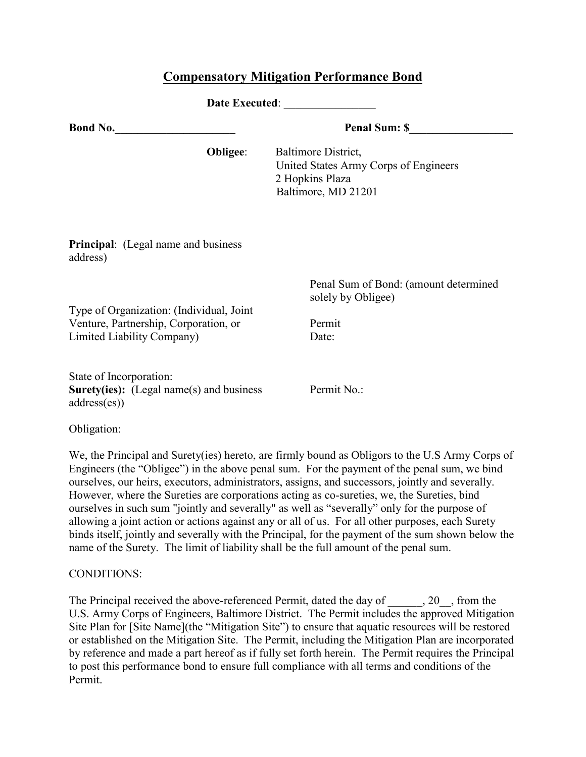## **Compensatory Mitigation Performance Bond**

| Date Executed:                                                                                                  |                      |                                                                                                                                                                                                |  |
|-----------------------------------------------------------------------------------------------------------------|----------------------|------------------------------------------------------------------------------------------------------------------------------------------------------------------------------------------------|--|
| <b>Bond No.</b>                                                                                                 | <b>Penal Sum: \$</b> |                                                                                                                                                                                                |  |
|                                                                                                                 | Obligee:             | Baltimore District,<br>United States Army Corps of Engineers<br>2 Hopkins Plaza<br>Baltimore, MD 21201                                                                                         |  |
| Principal: (Legal name and business<br>address)                                                                 |                      |                                                                                                                                                                                                |  |
| Type of Organization: (Individual, Joint<br>Venture, Partnership, Corporation, or<br>Limited Liability Company) |                      | Penal Sum of Bond: (amount determined<br>solely by Obligee)<br>Permit<br>Date:                                                                                                                 |  |
| State of Incorporation:<br><b>Surety(ies):</b> (Legal name(s) and business<br>address(es)                       |                      | Permit No.:                                                                                                                                                                                    |  |
| Obligation:                                                                                                     |                      |                                                                                                                                                                                                |  |
|                                                                                                                 |                      | We, the Principal and Surety(ies) hereto, are firmly bound as Obligors to the U.S Army Corps of<br>Engineers (the "Obligee") in the above penal sum. For the payment of the penal sum, we bind |  |

Engineers (the "Obligee") in the above penal sum. For the payment of the penal sum, we bind ourselves, our heirs, executors, administrators, assigns, and successors, jointly and severally. However, where the Sureties are corporations acting as co-sureties, we, the Sureties, bind ourselves in such sum "jointly and severally" as well as "severally" only for the purpose of allowing a joint action or actions against any or all of us. For all other purposes, each Surety binds itself, jointly and severally with the Principal, for the payment of the sum shown below the name of the Surety. The limit of liability shall be the full amount of the penal sum.

## CONDITIONS:

The Principal received the above-referenced Permit, dated the day of \_\_\_\_\_\_, 20\_\_, from the U.S. Army Corps of Engineers, Baltimore District. The Permit includes the approved Mitigation Site Plan for [Site Name](the "Mitigation Site") to ensure that aquatic resources will be restored or established on the Mitigation Site. The Permit, including the Mitigation Plan are incorporated by reference and made a part hereof as if fully set forth herein. The Permit requires the Principal to post this performance bond to ensure full compliance with all terms and conditions of the Permit.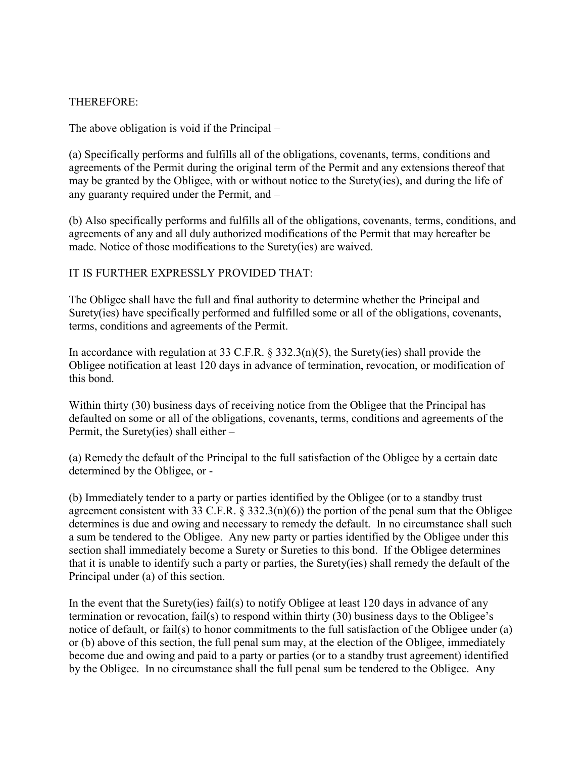## THEREFORE:

The above obligation is void if the Principal –

(a) Specifically performs and fulfills all of the obligations, covenants, terms, conditions and agreements of the Permit during the original term of the Permit and any extensions thereof that may be granted by the Obligee, with or without notice to the Surety(ies), and during the life of any guaranty required under the Permit, and –

(b) Also specifically performs and fulfills all of the obligations, covenants, terms, conditions, and agreements of any and all duly authorized modifications of the Permit that may hereafter be made. Notice of those modifications to the Surety(ies) are waived.

IT IS FURTHER EXPRESSLY PROVIDED THAT:

The Obligee shall have the full and final authority to determine whether the Principal and Surety(ies) have specifically performed and fulfilled some or all of the obligations, covenants, terms, conditions and agreements of the Permit.

In accordance with regulation at 33 C.F.R. § 332.3(n)(5), the Surety(ies) shall provide the Obligee notification at least 120 days in advance of termination, revocation, or modification of this bond.

Within thirty (30) business days of receiving notice from the Obligee that the Principal has defaulted on some or all of the obligations, covenants, terms, conditions and agreements of the Permit, the Surety(ies) shall either –

(a) Remedy the default of the Principal to the full satisfaction of the Obligee by a certain date determined by the Obligee, or -

(b) Immediately tender to a party or parties identified by the Obligee (or to a standby trust agreement consistent with 33 C.F.R.  $\S$  332.3(n)(6)) the portion of the penal sum that the Obligee determines is due and owing and necessary to remedy the default. In no circumstance shall such a sum be tendered to the Obligee. Any new party or parties identified by the Obligee under this section shall immediately become a Surety or Sureties to this bond. If the Obligee determines that it is unable to identify such a party or parties, the Surety(ies) shall remedy the default of the Principal under (a) of this section.

In the event that the Surety(ies) fail(s) to notify Obligee at least 120 days in advance of any termination or revocation, fail(s) to respond within thirty (30) business days to the Obligee's notice of default, or fail(s) to honor commitments to the full satisfaction of the Obligee under (a) or (b) above of this section, the full penal sum may, at the election of the Obligee, immediately become due and owing and paid to a party or parties (or to a standby trust agreement) identified by the Obligee. In no circumstance shall the full penal sum be tendered to the Obligee. Any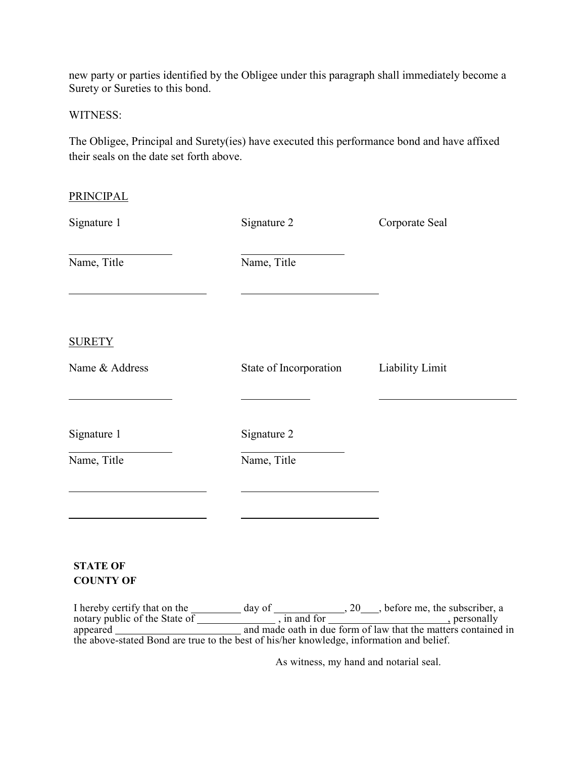new party or parties identified by the Obligee under this paragraph shall immediately become a Surety or Sureties to this bond.

WITNESS:

The Obligee, Principal and Surety(ies) have executed this performance bond and have affixed their seals on the date set forth above.

| <b>PRINCIPAL</b>                    |                        |                 |
|-------------------------------------|------------------------|-----------------|
| Signature 1                         | Signature 2            | Corporate Seal  |
| Name, Title                         | Name, Title            |                 |
| <b>SURETY</b><br>Name & Address     | State of Incorporation | Liability Limit |
| Signature 1                         | Signature 2            |                 |
| Name, Title                         | Name, Title            |                 |
| <b>STATE OF</b><br><b>COUNTY OF</b> |                        |                 |

I hereby certify that on the day of , 20 , before me, the subscriber, a notary public of the State of \_\_\_\_\_\_\_\_\_\_\_\_\_\_\_, in and for \_\_\_\_\_\_\_\_\_\_\_\_\_\_\_\_\_\_\_\_, personally appeared and made oath in due form of law that the matters contained in the above-stated Bond are true to the best of his/her knowledge, information and belief.

As witness, my hand and notarial seal.